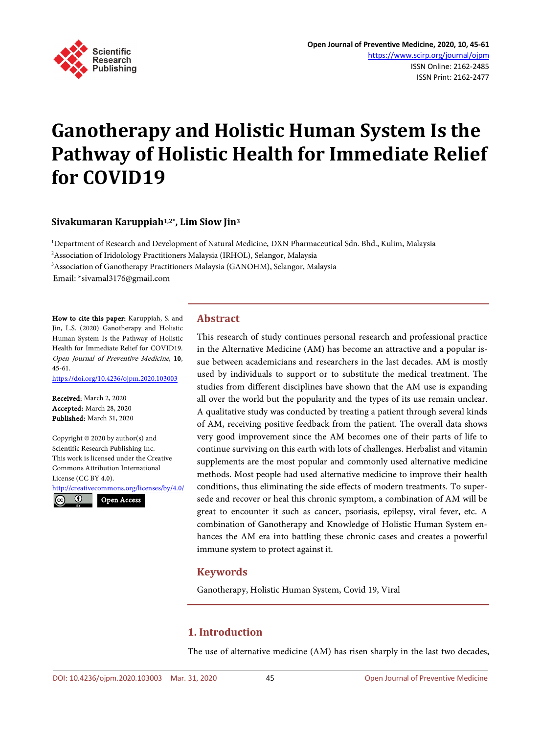

# **Ganotherapy and Holistic Human System Is the Pathway of Holistic Health for Immediate Relief for COVID19**

## **Sivakumaran Karuppiah1,2\*, Lim Siow Jin3**

1 Department of Research and Development of Natural Medicine, DXN Pharmaceutical Sdn. Bhd., Kulim, Malaysia 2 Association of Iridolology Practitioners Malaysia (IRHOL), Selangor, Malaysia 3 Association of Ganotherapy Practitioners Malaysia (GANOHM), Selangor, Malaysia

Email: \*sivamal3176@gmail.com

How to cite this paper: Karuppiah, S. and Jin, L.S. (2020) Ganotherapy and Holistic Human System Is the Pathway of Holistic Health for Immediate Relief for COVID19. Open Journal of Preventive Medicine, 10, 45-61. <https://doi.org/10.4236/ojpm.2020.103003>

Received: March 2, 2020 Accepted: March 28, 2020 Published: March 31, 2020

Copyright © 2020 by author(s) and Scientific Research Publishing Inc. This work is licensed under the Creative Commons Attribution International License (CC BY 4.0).

<http://creativecommons.org/licenses/by/4.0/>  $\odot$ Open Access

## **Abstract**

This research of study continues personal research and professional practice in the Alternative Medicine (AM) has become an attractive and a popular issue between academicians and researchers in the last decades. AM is mostly used by individuals to support or to substitute the medical treatment. The studies from different disciplines have shown that the AM use is expanding all over the world but the popularity and the types of its use remain unclear. A qualitative study was conducted by treating a patient through several kinds of AM, receiving positive feedback from the patient. The overall data shows very good improvement since the AM becomes one of their parts of life to continue surviving on this earth with lots of challenges. Herbalist and vitamin supplements are the most popular and commonly used alternative medicine methods. Most people had used alternative medicine to improve their health conditions, thus eliminating the side effects of modern treatments. To supersede and recover or heal this chronic symptom, a combination of AM will be great to encounter it such as cancer, psoriasis, epilepsy, viral fever, etc. A combination of Ganotherapy and Knowledge of Holistic Human System enhances the AM era into battling these chronic cases and creates a powerful immune system to protect against it.

## **Keywords**

Ganotherapy, Holistic Human System, Covid 19, Viral

## **1. Introduction**

The use of alternative medicine (AM) has risen sharply in the last two decades,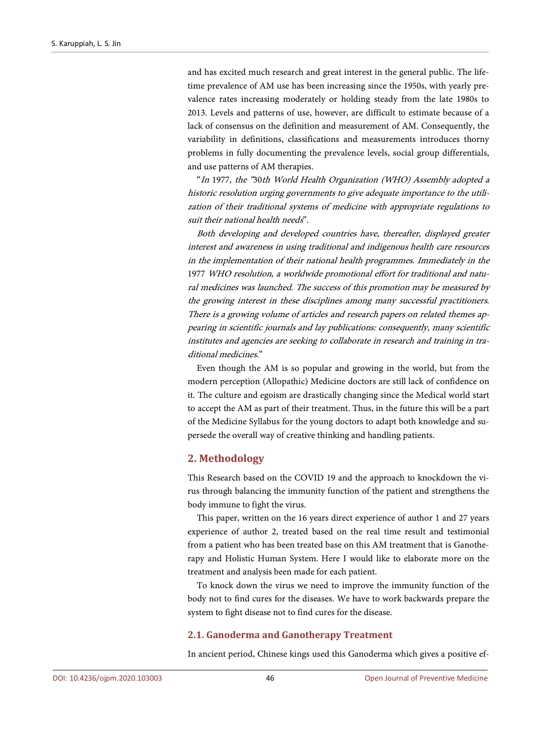and has excited much research and great interest in the general public. The lifetime prevalence of AM use has been increasing since the 1950s, with yearly prevalence rates increasing moderately or holding steady from the late 1980s to 2013. Levels and patterns of use, however, are difficult to estimate because of a lack of consensus on the definition and measurement of AM. Consequently, the variability in definitions, classifications and measurements introduces thorny problems in fully documenting the prevalence levels, social group differentials, and use patterns of AM therapies.

"In 1977, the "30th World Health Organization (WHO) Assembly adopted a historic resolution urging governments to give adequate importance to the utilization of their traditional systems of medicine with appropriate regulations to suit their national health needs".

Both developing and developed countries have, thereafter, displayed greater interest and awareness in using traditional and indigenous health care resources in the implementation of their national health programmes. Immediately in the 1977 WHO resolution, a worldwide promotional effort for traditional and natural medicines was launched. The success of this promotion may be measured by the growing interest in these disciplines among many successful practitioners. There is a growing volume of articles and research papers on related themes appearing in scientific journals and lay publications: consequently, many scientific institutes and agencies are seeking to collaborate in research and training in traditional medicines."

Even though the AM is so popular and growing in the world, but from the modern perception (Allopathic) Medicine doctors are still lack of confidence on it. The culture and egoism are drastically changing since the Medical world start to accept the AM as part of their treatment. Thus, in the future this will be a part of the Medicine Syllabus for the young doctors to adapt both knowledge and supersede the overall way of creative thinking and handling patients.

## **2. Methodology**

This Research based on the COVID 19 and the approach to knockdown the virus through balancing the immunity function of the patient and strengthens the body immune to fight the virus.

This paper, written on the 16 years direct experience of author 1 and 27 years experience of author 2, treated based on the real time result and testimonial from a patient who has been treated base on this AM treatment that is Ganotherapy and Holistic Human System. Here I would like to elaborate more on the treatment and analysis been made for each patient.

To knock down the virus we need to improve the immunity function of the body not to find cures for the diseases. We have to work backwards prepare the system to fight disease not to find cures for the disease.

## **2.1. Ganoderma and Ganotherapy Treatment**

In ancient period, Chinese kings used this Ganoderma which gives a positive ef-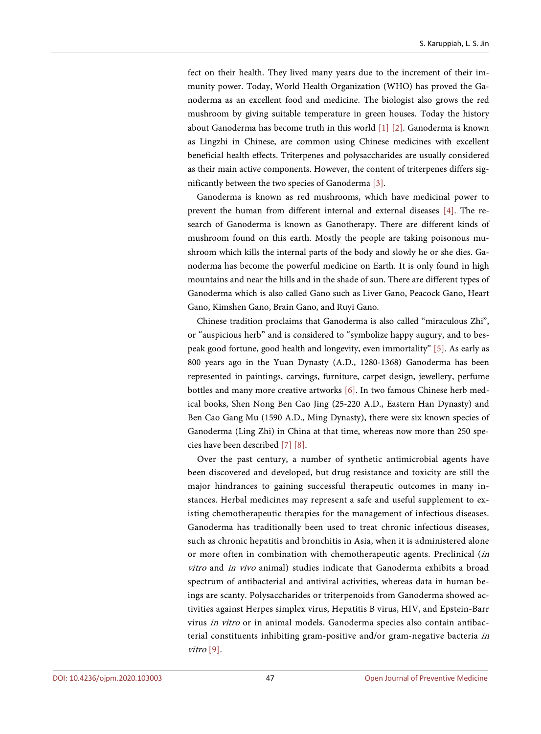fect on their health. They lived many years due to the increment of their immunity power. Today, World Health Organization (WHO) has proved the Ganoderma as an excellent food and medicine. The biologist also grows the red mushroom by giving suitable temperature in green houses. Today the history about Ganoderma has become truth in this world [\[1\]](#page-12-0) [\[2\].](#page-12-1) Ganoderma is known as Lingzhi in Chinese, are common using Chinese medicines with excellent beneficial health effects. Triterpenes and polysaccharides are usually considered as their main active components. However, the content of triterpenes differs significantly between the two species of Ganoderma [\[3\].](#page-12-2)

Ganoderma is known as red mushrooms, which have medicinal power to prevent the human from different internal and external diseases [\[4\].](#page-12-3) The research of Ganoderma is known as Ganotherapy. There are different kinds of mushroom found on this earth. Mostly the people are taking poisonous mushroom which kills the internal parts of the body and slowly he or she dies. Ganoderma has become the powerful medicine on Earth. It is only found in high mountains and near the hills and in the shade of sun. There are different types of Ganoderma which is also called Gano such as Liver Gano, Peacock Gano, Heart Gano, Kimshen Gano, Brain Gano, and Ruyi Gano.

Chinese tradition proclaims that Ganoderma is also called "miraculous Zhi", or "auspicious herb" and is considered to "symbolize happy augury, and to bespeak good fortune, good health and longevity, even immortality" [\[5\].](#page-12-4) As early as 800 years ago in the Yuan Dynasty (A.D., 1280-1368) Ganoderma has been represented in paintings, carvings, furniture, carpet design, jewellery, perfume bottles and many more creative artworks [\[6\].](#page-12-5) In two famous Chinese herb medical books, Shen Nong Ben Cao Jing (25-220 A.D., Eastern Han Dynasty) and Ben Cao Gang Mu (1590 A.D., Ming Dynasty), there were six known species of Ganoderma (Ling Zhi) in China at that time, whereas now more than 250 species have been described [\[7\]](#page-12-6) [\[8\].](#page-12-7)

Over the past century, a number of synthetic antimicrobial agents have been discovered and developed, but drug resistance and toxicity are still the major hindrances to gaining successful therapeutic outcomes in many instances. Herbal medicines may represent a safe and useful supplement to existing chemotherapeutic therapies for the management of infectious diseases. Ganoderma has traditionally been used to treat chronic infectious diseases, such as chronic hepatitis and bronchitis in Asia, when it is administered alone or more often in combination with chemotherapeutic agents. Preclinical (in vitro and in vivo animal) studies indicate that Ganoderma exhibits a broad spectrum of antibacterial and antiviral activities, whereas data in human beings are scanty. Polysaccharides or triterpenoids from Ganoderma showed activities against Herpes simplex virus, Hepatitis B virus, HIV, and Epstein-Barr virus in vitro or in animal models. Ganoderma species also contain antibacterial constituents inhibiting gram-positive and/or gram-negative bacteria in vitro [\[9\].](#page-12-8)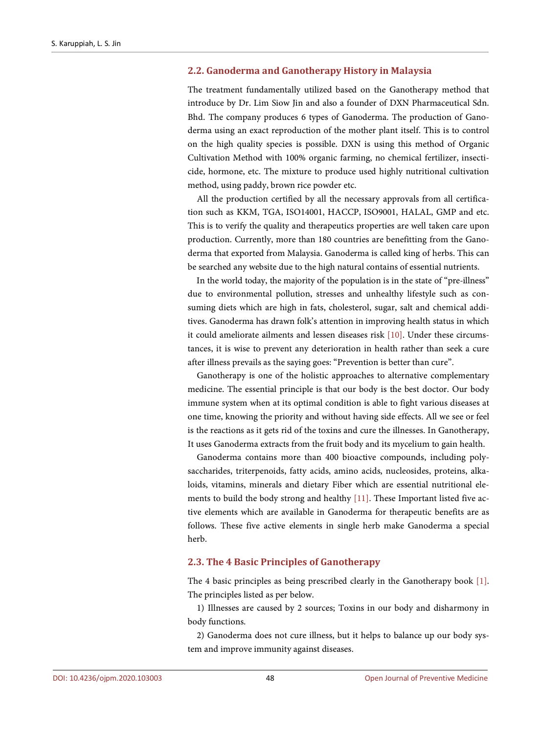#### **2.2. Ganoderma and Ganotherapy History in Malaysia**

The treatment fundamentally utilized based on the Ganotherapy method that introduce by Dr. Lim Siow Jin and also a founder of DXN Pharmaceutical Sdn. Bhd. The company produces 6 types of Ganoderma. The production of Ganoderma using an exact reproduction of the mother plant itself. This is to control on the high quality species is possible. DXN is using this method of Organic Cultivation Method with 100% organic farming, no chemical fertilizer, insecticide, hormone, etc. The mixture to produce used highly nutritional cultivation method, using paddy, brown rice powder etc.

All the production certified by all the necessary approvals from all certification such as KKM, TGA, ISO14001, HACCP, ISO9001, HALAL, GMP and etc. This is to verify the quality and therapeutics properties are well taken care upon production. Currently, more than 180 countries are benefitting from the Ganoderma that exported from Malaysia. Ganoderma is called king of herbs. This can be searched any website due to the high natural contains of essential nutrients.

In the world today, the majority of the population is in the state of "pre-illness" due to environmental pollution, stresses and unhealthy lifestyle such as consuming diets which are high in fats, cholesterol, sugar, salt and chemical additives. Ganoderma has drawn folk's attention in improving health status in which it could ameliorate ailments and lessen diseases risk [\[10\].](#page-12-9) Under these circumstances, it is wise to prevent any deterioration in health rather than seek a cure after illness prevails as the saying goes: "Prevention is better than cure".

Ganotherapy is one of the holistic approaches to alternative complementary medicine. The essential principle is that our body is the best doctor. Our body immune system when at its optimal condition is able to fight various diseases at one time, knowing the priority and without having side effects. All we see or feel is the reactions as it gets rid of the toxins and cure the illnesses. In Ganotherapy, It uses Ganoderma extracts from the fruit body and its mycelium to gain health.

Ganoderma contains more than 400 bioactive compounds, including polysaccharides, triterpenoids, fatty acids, amino acids, nucleosides, proteins, alkaloids, vitamins, minerals and dietary Fiber which are essential nutritional elements to build the body strong and healthy [\[11\].](#page-13-0) These Important listed five active elements which are available in Ganoderma for therapeutic benefits are as follows. These five active elements in single herb make Ganoderma a special herb.

#### **2.3. The 4 Basic Principles of Ganotherapy**

The 4 basic principles as being prescribed clearly in the Ganotherapy book [\[1\].](#page-12-0)  The principles listed as per below.

1) Illnesses are caused by 2 sources; Toxins in our body and disharmony in body functions.

2) Ganoderma does not cure illness, but it helps to balance up our body system and improve immunity against diseases.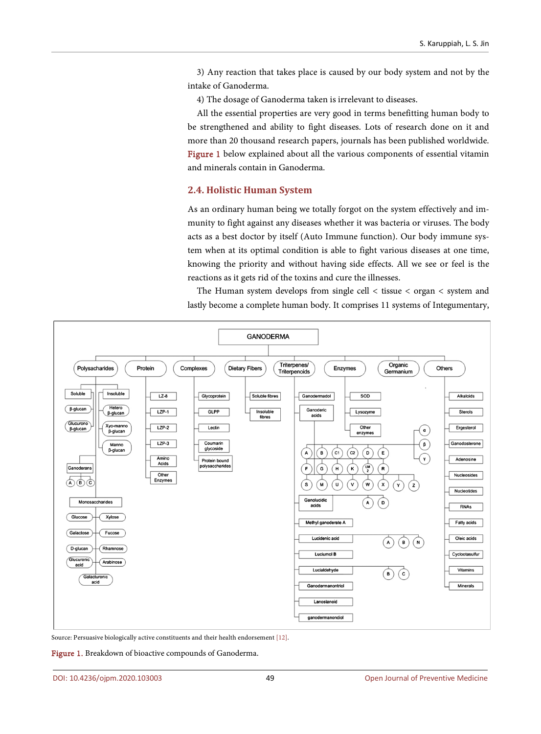3) Any reaction that takes place is caused by our body system and not by the intake of Ganoderma.

4) The dosage of Ganoderma taken is irrelevant to diseases.

All the essential properties are very good in terms benefitting human body to be strengthened and ability to fight diseases. Lots of research done on it and more than 20 thousand research papers, journals has been published worldwide. [Figure 1](#page-4-0) below explained about all the various components of essential vitamin and minerals contain in Ganoderma.

## **2.4. Holistic Human System**

As an ordinary human being we totally forgot on the system effectively and immunity to fight against any diseases whether it was bacteria or viruses. The body acts as a best doctor by itself (Auto Immune function). Our body immune system when at its optimal condition is able to fight various diseases at one time, knowing the priority and without having side effects. All we see or feel is the reactions as it gets rid of the toxins and cure the illnesses.

The Human system develops from single cell < tissue < organ < system and lastly become a complete human body. It comprises 11 systems of Integumentary,

<span id="page-4-0"></span>

Source: Persuasive biologically active constituents and their health endorsement [\[12\].](#page-13-1)

Figure 1. Breakdown of bioactive compounds of Ganoderma.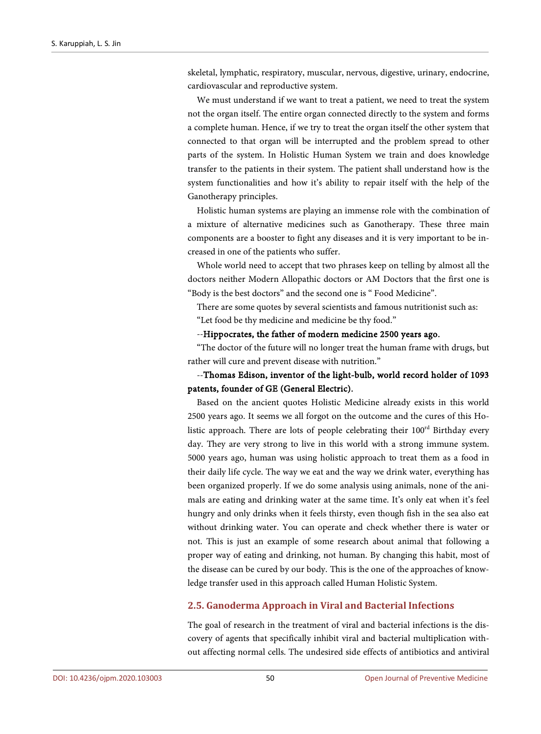skeletal, lymphatic, respiratory, muscular, nervous, digestive, urinary, endocrine, cardiovascular and reproductive system.

We must understand if we want to treat a patient, we need to treat the system not the organ itself. The entire organ connected directly to the system and forms a complete human. Hence, if we try to treat the organ itself the other system that connected to that organ will be interrupted and the problem spread to other parts of the system. In Holistic Human System we train and does knowledge transfer to the patients in their system. The patient shall understand how is the system functionalities and how it's ability to repair itself with the help of the Ganotherapy principles.

Holistic human systems are playing an immense role with the combination of a mixture of alternative medicines such as Ganotherapy. These three main components are a booster to fight any diseases and it is very important to be increased in one of the patients who suffer.

Whole world need to accept that two phrases keep on telling by almost all the doctors neither Modern Allopathic doctors or AM Doctors that the first one is "Body is the best doctors" and the second one is " Food Medicine".

There are some quotes by several scientists and famous nutritionist such as: "Let food be thy medicine and medicine be thy food."

#### --Hippocrates, the father of modern medicine 2500 years ago.

"The doctor of the future will no longer treat the human frame with drugs, but rather will cure and prevent disease with nutrition."

## --Thomas Edison, inventor of the light-bulb, world record holder of 1093 patents, founder of GE (General Electric).

Based on the ancient quotes Holistic Medicine already exists in this world 2500 years ago. It seems we all forgot on the outcome and the cures of this Holistic approach. There are lots of people celebrating their  $100<sup>rd</sup>$  Birthday every day. They are very strong to live in this world with a strong immune system. 5000 years ago, human was using holistic approach to treat them as a food in their daily life cycle. The way we eat and the way we drink water, everything has been organized properly. If we do some analysis using animals, none of the animals are eating and drinking water at the same time. It's only eat when it's feel hungry and only drinks when it feels thirsty, even though fish in the sea also eat without drinking water. You can operate and check whether there is water or not. This is just an example of some research about animal that following a proper way of eating and drinking, not human. By changing this habit, most of the disease can be cured by our body. This is the one of the approaches of knowledge transfer used in this approach called Human Holistic System.

## **2.5. Ganoderma Approach in Viral and Bacterial Infections**

The goal of research in the treatment of viral and bacterial infections is the discovery of agents that specifically inhibit viral and bacterial multiplication without affecting normal cells. The undesired side effects of antibiotics and antiviral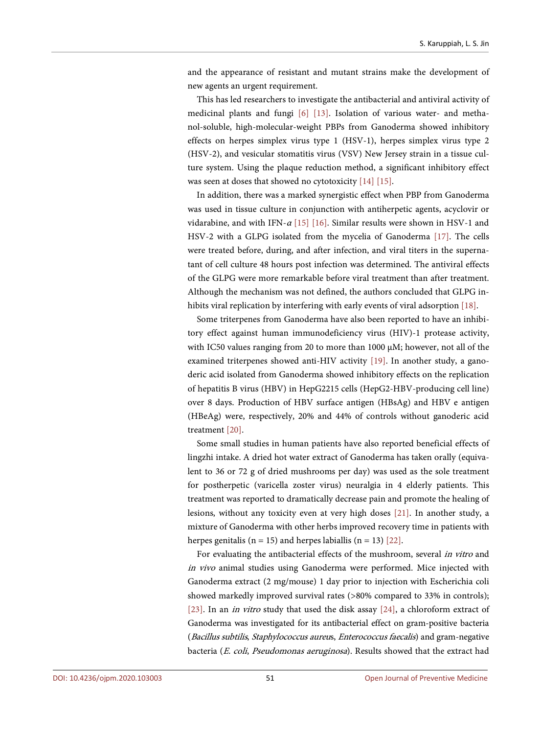and the appearance of resistant and mutant strains make the development of new agents an urgent requirement.

This has led researchers to investigate the antibacterial and antiviral activity of medicinal plants and fungi [\[6\]](#page-12-5) [\[13\].](#page-13-2) Isolation of various water- and methanol-soluble, high-molecular-weight PBPs from Ganoderma showed inhibitory effects on herpes simplex virus type 1 (HSV-1), herpes simplex virus type 2 (HSV-2), and vesicular stomatitis virus (VSV) New Jersey strain in a tissue culture system. Using the plaque reduction method, a significant inhibitory effect was seen at doses that showed no cytotoxicity [\[14\]](#page-13-3) [\[15\].](#page-13-4)

In addition, there was a marked synergistic effect when PBP from Ganoderma was used in tissue culture in conjunction with antiherpetic agents, acyclovir or vidarabine, and with IFN- $\alpha$  [\[15\]](#page-13-4) [\[16\].](#page-13-5) Similar results were shown in HSV-1 and HSV-2 with a GLPG isolated from the mycelia of Ganoderma [\[17\].](#page-13-6) The cells were treated before, during, and after infection, and viral titers in the supernatant of cell culture 48 hours post infection was determined. The antiviral effects of the GLPG were more remarkable before viral treatment than after treatment. Although the mechanism was not defined, the authors concluded that GLPG in-hibits viral replication by interfering with early events of viral adsorption [\[18\].](#page-13-7)

Some triterpenes from Ganoderma have also been reported to have an inhibitory effect against human immunodeficiency virus (HIV)-1 protease activity, with IC50 values ranging from 20 to more than 1000 μM; however, not all of the examined triterpenes showed anti-HIV activity [\[19\].](#page-13-8) In another study, a ganoderic acid isolated from Ganoderma showed inhibitory effects on the replication of hepatitis B virus (HBV) in HepG2215 cells (HepG2-HBV-producing cell line) over 8 days. Production of HBV surface antigen (HBsAg) and HBV e antigen (HBeAg) were, respectively, 20% and 44% of controls without ganoderic acid treatment [\[20\].](#page-13-9)

Some small studies in human patients have also reported beneficial effects of lingzhi intake. A dried hot water extract of Ganoderma has taken orally (equivalent to 36 or 72 g of dried mushrooms per day) was used as the sole treatment for postherpetic (varicella zoster virus) neuralgia in 4 elderly patients. This treatment was reported to dramatically decrease pain and promote the healing of lesions, without any toxicity even at very high doses [\[21\].](#page-13-10) In another study, a mixture of Ganoderma with other herbs improved recovery time in patients with herpes genitalis ( $n = 15$ ) and herpes labiallis ( $n = 13$ ) [\[22\].](#page-13-11)

For evaluating the antibacterial effects of the mushroom, several in vitro and in vivo animal studies using Ganoderma were performed. Mice injected with Ganoderma extract (2 mg/mouse) 1 day prior to injection with Escherichia coli showed markedly improved survival rates (>80% compared to 33% in controls); [\[23\].](#page-13-12) In an *in vitro* study that used the disk assay [\[24\],](#page-13-13) a chloroform extract of Ganoderma was investigated for its antibacterial effect on gram-positive bacteria (Bacillus subtilis, Staphylococcus aureus, Enterococcus faecalis) and gram-negative bacteria (E. coli, Pseudomonas aeruginosa). Results showed that the extract had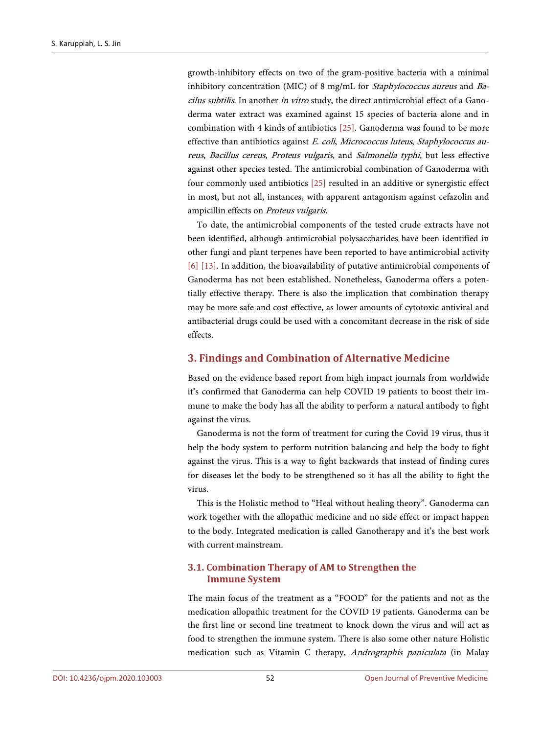growth-inhibitory effects on two of the gram-positive bacteria with a minimal inhibitory concentration (MIC) of 8 mg/mL for Staphylococcus aureus and Bacilus subtilis. In another in vitro study, the direct antimicrobial effect of a Ganoderma water extract was examined against 15 species of bacteria alone and in combination with 4 kinds of antibiotics [\[25\].](#page-14-0) Ganoderma was found to be more effective than antibiotics against E. coli, Micrococcus luteus, Staphylococcus aureus, Bacillus cereus, Proteus vulgaris, and Salmonella typhi, but less effective against other species tested. The antimicrobial combination of Ganoderma with four commonly used antibiotics [\[25\]](#page-14-0) resulted in an additive or synergistic effect in most, but not all, instances, with apparent antagonism against cefazolin and ampicillin effects on Proteus vulgaris.

To date, the antimicrobial components of the tested crude extracts have not been identified, although antimicrobial polysaccharides have been identified in other fungi and plant terpenes have been reported to have antimicrobial activity [\[6\]](#page-12-5) [\[13\].](#page-13-2) In addition, the bioavailability of putative antimicrobial components of Ganoderma has not been established. Nonetheless, Ganoderma offers a potentially effective therapy. There is also the implication that combination therapy may be more safe and cost effective, as lower amounts of cytotoxic antiviral and antibacterial drugs could be used with a concomitant decrease in the risk of side effects.

## **3. Findings and Combination of Alternative Medicine**

Based on the evidence based report from high impact journals from worldwide it's confirmed that Ganoderma can help COVID 19 patients to boost their immune to make the body has all the ability to perform a natural antibody to fight against the virus.

Ganoderma is not the form of treatment for curing the Covid 19 virus, thus it help the body system to perform nutrition balancing and help the body to fight against the virus. This is a way to fight backwards that instead of finding cures for diseases let the body to be strengthened so it has all the ability to fight the virus.

This is the Holistic method to "Heal without healing theory". Ganoderma can work together with the allopathic medicine and no side effect or impact happen to the body. Integrated medication is called Ganotherapy and it's the best work with current mainstream.

## **3.1. Combination Therapy of AM to Strengthen the Immune System**

The main focus of the treatment as a "FOOD" for the patients and not as the medication allopathic treatment for the COVID 19 patients. Ganoderma can be the first line or second line treatment to knock down the virus and will act as food to strengthen the immune system. There is also some other nature Holistic medication such as Vitamin C therapy, Andrographis paniculata (in Malay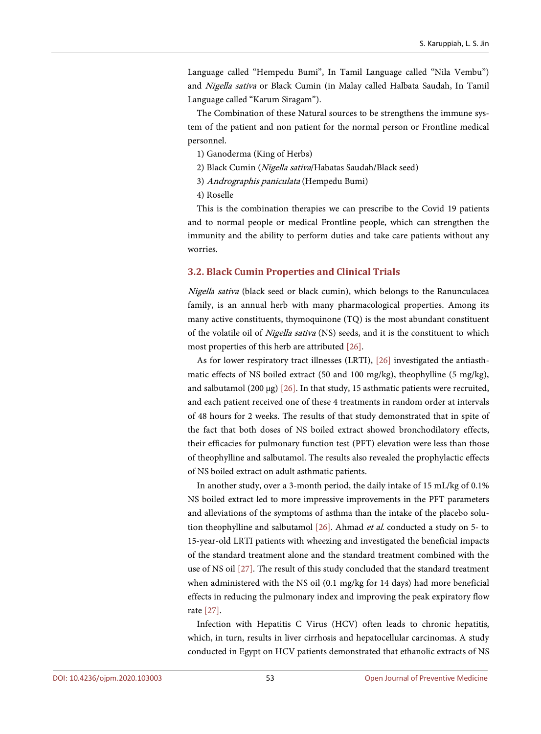Language called "Hempedu Bumi", In Tamil Language called "Nila Vembu") and Nigella sativa or Black Cumin (in Malay called Halbata Saudah, In Tamil Language called "Karum Siragam").

The Combination of these Natural sources to be strengthens the immune system of the patient and non patient for the normal person or Frontline medical personnel.

- 1) Ganoderma (King of Herbs)
- 2) Black Cumin (Nigella sativa/Habatas Saudah/Black seed)
- 3) Andrographis paniculata (Hempedu Bumi)
- 4) Roselle

This is the combination therapies we can prescribe to the Covid 19 patients and to normal people or medical Frontline people, which can strengthen the immunity and the ability to perform duties and take care patients without any worries.

## **3.2. Black Cumin Properties and Clinical Trials**

Nigella sativa (black seed or black cumin), which belongs to the Ranunculacea family, is an annual herb with many pharmacological properties. Among its many active constituents, thymoquinone (TQ) is the most abundant constituent of the volatile oil of *Nigella sativa* (NS) seeds, and it is the constituent to which most properties of this herb are attributed [\[26\].](#page-14-1)

As for lower respiratory tract illnesses (LRTI), [\[26\]](#page-14-1) investigated the antiasthmatic effects of NS boiled extract (50 and 100 mg/kg), theophylline (5 mg/kg), and salbutamol (200 μg)  $[26]$ . In that study, 15 asthmatic patients were recruited, and each patient received one of these 4 treatments in random order at intervals of 48 hours for 2 weeks. The results of that study demonstrated that in spite of the fact that both doses of NS boiled extract showed bronchodilatory effects, their efficacies for pulmonary function test (PFT) elevation were less than those of theophylline and salbutamol. The results also revealed the prophylactic effects of NS boiled extract on adult asthmatic patients.

In another study, over a 3-month period, the daily intake of 15 mL/kg of 0.1% NS boiled extract led to more impressive improvements in the PFT parameters and alleviations of the symptoms of asthma than the intake of the placebo solution theophylline and salbutamol [\[26\].](#page-14-1) Ahmad et al. conducted a study on 5- to 15-year-old LRTI patients with wheezing and investigated the beneficial impacts of the standard treatment alone and the standard treatment combined with the use of NS oil [\[27\].](#page-14-2) The result of this study concluded that the standard treatment when administered with the NS oil (0.1 mg/kg for 14 days) had more beneficial effects in reducing the pulmonary index and improving the peak expiratory flow rate [\[27\].](#page-14-2)

Infection with Hepatitis C Virus (HCV) often leads to chronic hepatitis, which, in turn, results in liver cirrhosis and hepatocellular carcinomas. A study conducted in Egypt on HCV patients demonstrated that ethanolic extracts of NS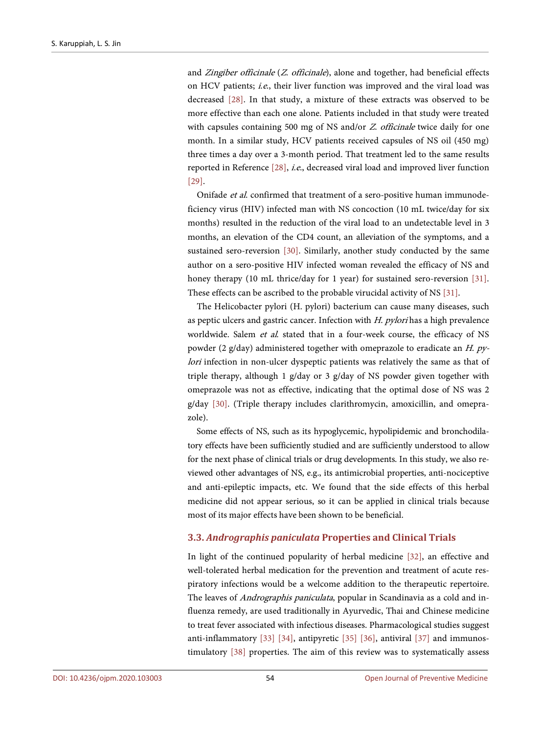and Zingiber officinale (Z. officinale), alone and together, had beneficial effects on HCV patients; i.e., their liver function was improved and the viral load was decreased [\[28\].](#page-14-3) In that study, a mixture of these extracts was observed to be more effective than each one alone. Patients included in that study were treated with capsules containing 500 mg of NS and/or Z. officinale twice daily for one month. In a similar study, HCV patients received capsules of NS oil (450 mg) three times a day over a 3-month period. That treatment led to the same results reported in Reference [\[28\],](#page-14-3) i.e., decreased viral load and improved liver function [\[29\].](#page-14-4)

Onifade et al. confirmed that treatment of a sero-positive human immunodeficiency virus (HIV) infected man with NS concoction (10 mL twice/day for six months) resulted in the reduction of the viral load to an undetectable level in 3 months, an elevation of the CD4 count, an alleviation of the symptoms, and a sustained sero-reversion [\[30\].](#page-14-5) Similarly, another study conducted by the same author on a sero-positive HIV infected woman revealed the efficacy of NS and honey therapy (10 mL thrice/day for 1 year) for sustained sero-reversion [31]. These effects can be ascribed to the probable virucidal activity of NS [\[31\].](#page-14-6)

The Helicobacter pylori (H. pylori) bacterium can cause many diseases, such as peptic ulcers and gastric cancer. Infection with H. pylori has a high prevalence worldwide. Salem et al. stated that in a four-week course, the efficacy of NS powder (2 g/day) administered together with omeprazole to eradicate an H. pylori infection in non-ulcer dyspeptic patients was relatively the same as that of triple therapy, although 1 g/day or 3 g/day of NS powder given together with omeprazole was not as effective, indicating that the optimal dose of NS was 2 g/day [\[30\].](#page-14-5) (Triple therapy includes clarithromycin, amoxicillin, and omeprazole).

Some effects of NS, such as its hypoglycemic, hypolipidemic and bronchodilatory effects have been sufficiently studied and are sufficiently understood to allow for the next phase of clinical trials or drug developments. In this study, we also reviewed other advantages of NS, e.g., its antimicrobial properties, anti-nociceptive and anti-epileptic impacts, etc. We found that the side effects of this herbal medicine did not appear serious, so it can be applied in clinical trials because most of its major effects have been shown to be beneficial.

#### **3.3.** *Andrographis paniculata* **Properties and Clinical Trials**

In light of the continued popularity of herbal medicine [\[32\],](#page-14-7) an effective and well-tolerated herbal medication for the prevention and treatment of acute respiratory infections would be a welcome addition to the therapeutic repertoire. The leaves of *Andrographis paniculata*, popular in Scandinavia as a cold and influenza remedy, are used traditionally in Ayurvedic, Thai and Chinese medicine to treat fever associated with infectious diseases. Pharmacological studies suggest anti-inflammatory [\[33\]](#page-14-8) [\[34\],](#page-14-9) antipyretic [\[35\]](#page-14-10) [\[36\],](#page-14-11) antiviral [\[37\]](#page-14-12) and immunostimulatory [\[38\]](#page-15-0) properties. The aim of this review was to systematically assess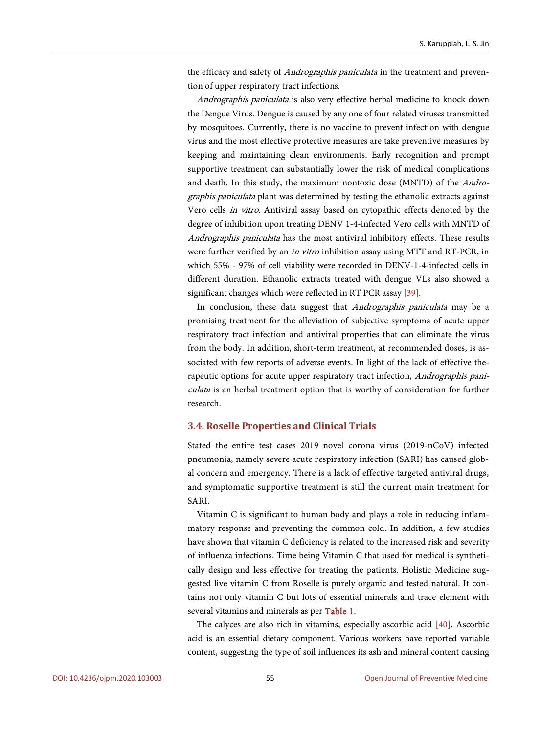the efficacy and safety of Andrographis paniculata in the treatment and prevention of upper respiratory tract infections.

Andrographis paniculata is also very effective herbal medicine to knock down the Dengue Virus. Dengue is caused by any one of four related viruses transmitted by mosquitoes. Currently, there is no vaccine to prevent infection with dengue virus and the most effective protective measures are take preventive measures by keeping and maintaining clean environments. Early recognition and prompt supportive treatment can substantially lower the risk of medical complications and death. In this study, the maximum nontoxic dose (MNTD) of the Andrographis paniculata plant was determined by testing the ethanolic extracts against Vero cells in vitro. Antiviral assay based on cytopathic effects denoted by the degree of inhibition upon treating DENV 1-4-infected Vero cells with MNTD of Andrographis paniculata has the most antiviral inhibitory effects. These results were further verified by an in vitro inhibition assay using MTT and RT-PCR, in which 55% - 97% of cell viability were recorded in DENV-1-4-infected cells in different duration. Ethanolic extracts treated with dengue VLs also showed a significant changes which were reflected in RT PCR assay [\[39\].](#page-15-1)

In conclusion, these data suggest that Andrographis paniculata may be a promising treatment for the alleviation of subjective symptoms of acute upper respiratory tract infection and antiviral properties that can eliminate the virus from the body. In addition, short-term treatment, at recommended doses, is associated with few reports of adverse events. In light of the lack of effective therapeutic options for acute upper respiratory tract infection, Andrographis paniculata is an herbal treatment option that is worthy of consideration for further research.

## **3.4. Roselle Properties and Clinical Trials**

Stated the entire test cases 2019 novel corona virus (2019-nCoV) infected pneumonia, namely severe acute respiratory infection (SARI) has caused global concern and emergency. There is a lack of effective targeted antiviral drugs, and symptomatic supportive treatment is still the current main treatment for SARI.

Vitamin C is significant to human body and plays a role in reducing inflammatory response and preventing the common cold. In addition, a few studies have shown that vitamin C deficiency is related to the increased risk and severity of influenza infections. Time being Vitamin C that used for medical is synthetically design and less effective for treating the patients. Holistic Medicine suggested live vitamin C from Roselle is purely organic and tested natural. It contains not only vitamin C but lots of essential minerals and trace element with several vitamins and minerals as pe[r Table 1.](#page-11-0)

The calyces are also rich in vitamins, especially ascorbic acid [\[40\].](#page-15-2) Ascorbic acid is an essential dietary component. Various workers have reported variable content, suggesting the type of soil influences its ash and mineral content causing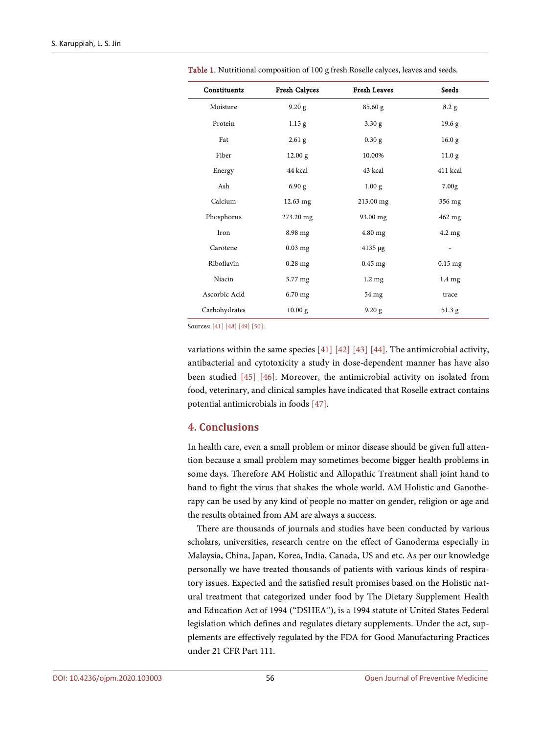| Constituents  | Fresh Calyces     | <b>Fresh Leaves</b> | Seeds             |
|---------------|-------------------|---------------------|-------------------|
| Moisture      | 9.20 g            | 85.60 g             | 8.2 g             |
| Protein       | 1.15 <sub>g</sub> | 3.30 g              | 19.6 <sub>g</sub> |
| Fat           | $2.61$ g          | $0.30$ g            | 16.0 <sub>g</sub> |
| Fiber         | 12.00 g           | 10.00%              | 11.0 <sub>g</sub> |
| Energy        | 44 kcal           | 43 kcal             | 411 kcal          |
| Ash           | 6.90 g            | 1.00 <sub>g</sub>   | 7.00 <sub>g</sub> |
| Calcium       | 12.63 mg          | 213.00 mg           | 356 mg            |
| Phosphorus    | 273.20 mg         | 93.00 mg            | 462 mg            |
| Iron          | 8.98 mg           | 4.80 mg             | $4.2 \text{ mg}$  |
| Carotene      | $0.03$ mg         | $4135 \mu g$        |                   |
| Riboflavin    | $0.28$ mg         | $0.45$ mg           | $0.15$ mg         |
| Niacin        | $3.77 \text{ mg}$ | $1.2 \text{ mg}$    | $1.4 \text{ mg}$  |
| Ascorbic Acid | 6.70 mg           | 54 mg               | trace             |
| Carbohydrates | 10.00 g           | 9.20 g              | 51.3 g            |

<span id="page-11-0"></span>Table 1. Nutritional composition of 100 g fresh Roselle calyces, leaves and seeds.

Sources: [\[41\]](#page-15-3) [\[48\]](#page-15-4) [\[49\]](#page-15-5) [\[50\].](#page-15-6)

variations within the same species [\[41\]](#page-15-3) [\[42\]](#page-15-7) [\[43\]](#page-15-8) [\[44\].](#page-15-9) The antimicrobial activity, antibacterial and cytotoxicity a study in dose-dependent manner has have also been studied [\[45\]](#page-15-10) [\[46\].](#page-15-11) Moreover, the antimicrobial activity on isolated from food, veterinary, and clinical samples have indicated that Roselle extract contains potential antimicrobials in foods [\[47\].](#page-15-12)

## **4. Conclusions**

In health care, even a small problem or minor disease should be given full attention because a small problem may sometimes become bigger health problems in some days. Therefore AM Holistic and Allopathic Treatment shall joint hand to hand to fight the virus that shakes the whole world. AM Holistic and Ganotherapy can be used by any kind of people no matter on gender, religion or age and the results obtained from AM are always a success.

There are thousands of journals and studies have been conducted by various scholars, universities, research centre on the effect of Ganoderma especially in Malaysia, China, Japan, Korea, India, Canada, US and etc. As per our knowledge personally we have treated thousands of patients with various kinds of respiratory issues. Expected and the satisfied result promises based on the Holistic natural treatment that categorized under food by The Dietary Supplement Health and Education Act of 1994 ("DSHEA"), is a 1994 statute of United States Federal legislation which defines and regulates dietary supplements. Under the act, supplements are effectively regulated by the FDA for Good Manufacturing Practices under 21 CFR Part 111.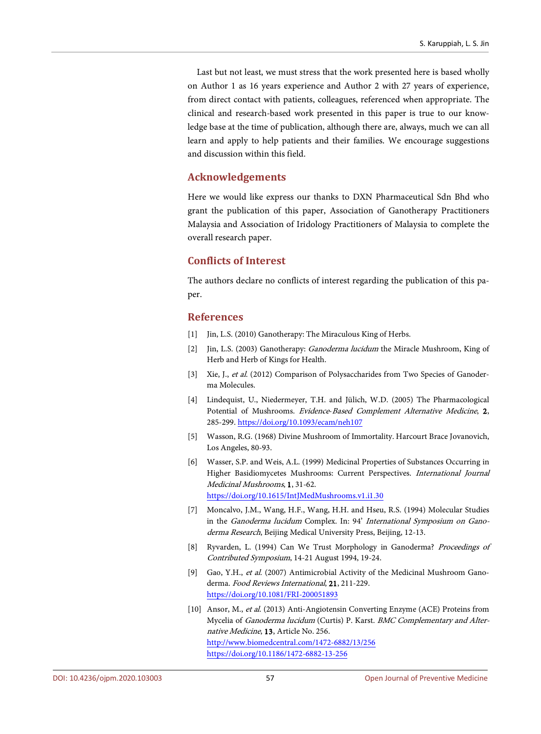Last but not least, we must stress that the work presented here is based wholly on Author 1 as 16 years experience and Author 2 with 27 years of experience, from direct contact with patients, colleagues, referenced when appropriate. The clinical and research-based work presented in this paper is true to our knowledge base at the time of publication, although there are, always, much we can all learn and apply to help patients and their families. We encourage suggestions and discussion within this field.

## **Acknowledgements**

Here we would like express our thanks to DXN Pharmaceutical Sdn Bhd who grant the publication of this paper, Association of Ganotherapy Practitioners Malaysia and Association of Iridology Practitioners of Malaysia to complete the overall research paper.

## **Conflicts of Interest**

The authors declare no conflicts of interest regarding the publication of this paper.

#### **References**

- <span id="page-12-0"></span>[1] Jin, L.S. (2010) Ganotherapy: The Miraculous King of Herbs.
- <span id="page-12-1"></span>[2] Jin, L.S. (2003) Ganotherapy: Ganoderma lucidum the Miracle Mushroom, King of Herb and Herb of Kings for Health.
- <span id="page-12-2"></span>[3] Xie, J., et al. (2012) Comparison of Polysaccharides from Two Species of Ganoderma Molecules.
- <span id="page-12-3"></span>[4] Lindequist, U., Niedermeyer, T.H. and Jülich, W.D. (2005) The Pharmacological Potential of Mushrooms. Evidence-Based Complement Alternative Medicine, 2, 285-299. <https://doi.org/10.1093/ecam/neh107>
- <span id="page-12-4"></span>[5] Wasson, R.G. (1968) Divine Mushroom of Immortality. Harcourt Brace Jovanovich, Los Angeles, 80-93.
- <span id="page-12-5"></span>[6] Wasser, S.P. and Weis, A.L. (1999) Medicinal Properties of Substances Occurring in Higher Basidiomycetes Mushrooms: Current Perspectives. International Journal Medicinal Mushrooms, 1, 31-62. <https://doi.org/10.1615/IntJMedMushrooms.v1.i1.30>
- <span id="page-12-6"></span>[7] Moncalvo, J.M., Wang, H.F., Wang, H.H. and Hseu, R.S. (1994) Molecular Studies in the Ganoderma lucidum Complex. In: 94' International Symposium on Ganoderma Research, Beijing Medical University Press, Beijing, 12-13.
- <span id="page-12-7"></span>[8] Ryvarden, L. (1994) Can We Trust Morphology in Ganoderma? Proceedings of Contributed Symposium, 14-21 August 1994, 19-24.
- <span id="page-12-8"></span>[9] Gao, Y.H., et al. (2007) Antimicrobial Activity of the Medicinal Mushroom Ganoderma. Food Reviews International, 21, 211-229. <https://doi.org/10.1081/FRI-200051893>
- <span id="page-12-9"></span>[10] Ansor, M., et al. (2013) Anti-Angiotensin Converting Enzyme (ACE) Proteins from Mycelia of Ganoderma lucidum (Curtis) P. Karst. BMC Complementary and Alternative Medicine, 13, Article No. 256. <http://www.biomedcentral.com/1472-6882/13/256> <https://doi.org/10.1186/1472-6882-13-256>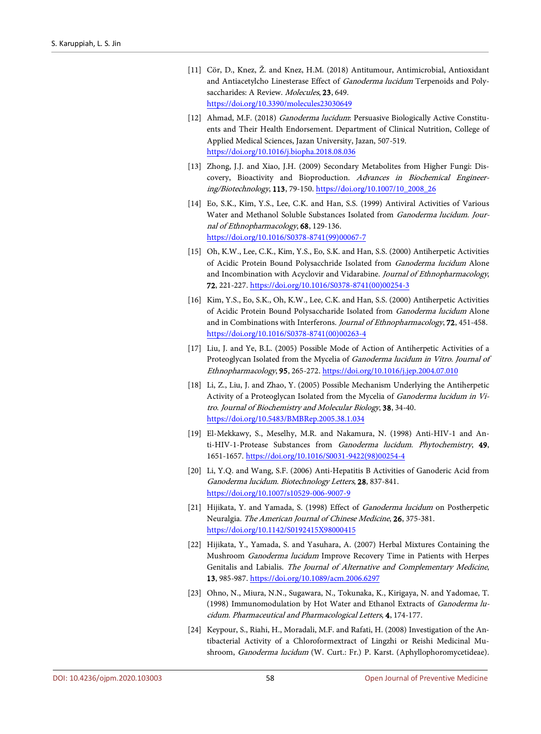- <span id="page-13-0"></span>[11] Cör, D., Knez, Ž. and Knez, H.M. (2018) Antitumour, Antimicrobial, Antioxidant and Antiacetylcho Linesterase Effect of Ganoderma lucidum Terpenoids and Polysaccharides: A Review. Molecules, 23, 649. <https://doi.org/10.3390/molecules23030649>
- <span id="page-13-1"></span>[12] Ahmad, M.F. (2018) Ganoderma lucidum: Persuasive Biologically Active Constituents and Their Health Endorsement. Department of Clinical Nutrition, College of Applied Medical Sciences, Jazan University, Jazan, 507-519. <https://doi.org/10.1016/j.biopha.2018.08.036>
- <span id="page-13-2"></span>[13] Zhong, J.J. and Xiao, J.H. (2009) Secondary Metabolites from Higher Fungi: Discovery, Bioactivity and Bioproduction. Advances in Biochemical Engineering/Biotechnology, 113, 79-150. [https://doi.org/10.1007/10\\_2008\\_26](https://doi.org/10.1007/10_2008_26)
- <span id="page-13-3"></span>[14] Eo, S.K., Kim, Y.S., Lee, C.K. and Han, S.S. (1999) Antiviral Activities of Various Water and Methanol Soluble Substances Isolated from Ganoderma lucidum. Journal of Ethnopharmacology, 68, 129-136. [https://doi.org/10.1016/S0378-8741\(99\)00067-7](https://doi.org/10.1016/S0378-8741(99)00067-7)
- <span id="page-13-4"></span>[15] Oh, K.W., Lee, C.K., Kim, Y.S., Eo, S.K. and Han, S.S. (2000) Antiherpetic Activities of Acidic Protein Bound Polysacchride Isolated from Ganoderma lucidum Alone and Incombination with Acyclovir and Vidarabine. Journal of Ethnopharmacology, 72, 221-227. [https://doi.org/10.1016/S0378-8741\(00\)00254-3](https://doi.org/10.1016/S0378-8741(00)00254-3)
- <span id="page-13-5"></span>[16] Kim, Y.S., Eo, S.K., Oh, K.W., Lee, C.K. and Han, S.S. (2000) Antiherpetic Activities of Acidic Protein Bound Polysaccharide Isolated from Ganoderma lucidum Alone and in Combinations with Interferons. Journal of Ethnopharmacology, 72, 451-458. [https://doi.org/10.1016/S0378-8741\(00\)00263-4](https://doi.org/10.1016/S0378-8741(00)00263-4)
- <span id="page-13-6"></span>[17] Liu, J. and Ye, B.L. (2005) Possible Mode of Action of Antiherpetic Activities of a Proteoglycan Isolated from the Mycelia of Ganoderma lucidum in Vitro. Journal of Ethnopharmacology, 95, 265-272. <https://doi.org/10.1016/j.jep.2004.07.010>
- <span id="page-13-7"></span>[18] Li, Z., Liu, J. and Zhao, Y. (2005) Possible Mechanism Underlying the Antiherpetic Activity of a Proteoglycan Isolated from the Mycelia of Ganoderma lucidum in Vitro. Journal of Biochemistry and Molecular Biology, 38, 34-40. <https://doi.org/10.5483/BMBRep.2005.38.1.034>
- <span id="page-13-8"></span>[19] El-Mekkawy, S., Meselhy, M.R. and Nakamura, N. (1998) Anti-HIV-1 and Anti-HIV-1-Protease Substances from Ganoderma lucidum. Phytochemistry, 49, 1651-1657. [https://doi.org/10.1016/S0031-9422\(98\)00254-4](https://doi.org/10.1016/S0031-9422(98)00254-4)
- <span id="page-13-9"></span>[20] Li, Y.Q. and Wang, S.F. (2006) Anti-Hepatitis B Activities of Ganoderic Acid from Ganoderma lucidum. Biotechnology Letters, 28, 837-841. <https://doi.org/10.1007/s10529-006-9007-9>
- <span id="page-13-10"></span>[21] Hijikata, Y. and Yamada, S. (1998) Effect of Ganoderma lucidum on Postherpetic Neuralgia. The American Journal of Chinese Medicine, 26, 375-381. <https://doi.org/10.1142/S0192415X98000415>
- <span id="page-13-11"></span>[22] Hijikata, Y., Yamada, S. and Yasuhara, A. (2007) Herbal Mixtures Containing the Mushroom Ganoderma lucidum Improve Recovery Time in Patients with Herpes Genitalis and Labialis. The Journal of Alternative and Complementary Medicine, 13, 985-987. <https://doi.org/10.1089/acm.2006.6297>
- <span id="page-13-12"></span>[23] Ohno, N., Miura, N.N., Sugawara, N., Tokunaka, K., Kirigaya, N. and Yadomae, T. (1998) Immunomodulation by Hot Water and Ethanol Extracts of Ganoderma lucidum. Pharmaceutical and Pharmacological Letters, 4, 174-177.
- <span id="page-13-13"></span>[24] Keypour, S., Riahi, H., Moradali, M.F. and Rafati, H. (2008) Investigation of the Antibacterial Activity of a Chloroformextract of Lingzhi or Reishi Medicinal Mushroom, Ganoderma lucidum (W. Curt.: Fr.) P. Karst. (Aphyllophoromycetideae).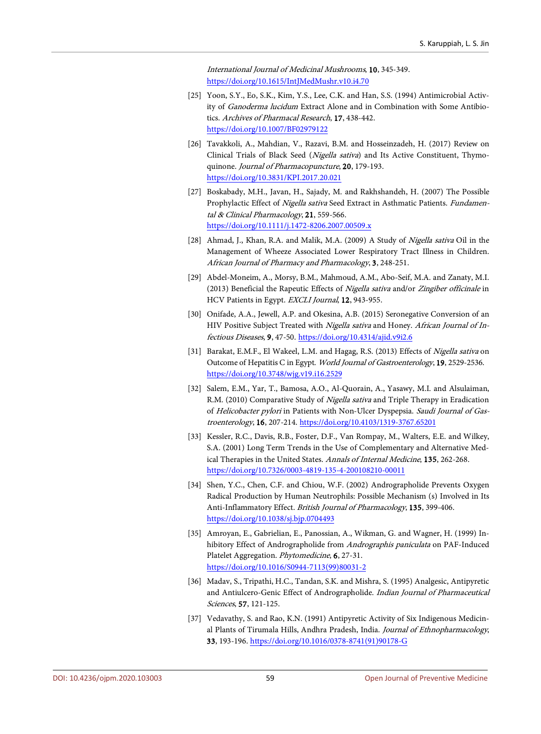International Journal of Medicinal Mushrooms, 10, 345-349. <https://doi.org/10.1615/IntJMedMushr.v10.i4.70>

- <span id="page-14-0"></span>[25] Yoon, S.Y., Eo, S.K., Kim, Y.S., Lee, C.K. and Han, S.S. (1994) Antimicrobial Activity of Ganoderma lucidum Extract Alone and in Combination with Some Antibiotics. Archives of Pharmacal Research, 17, 438-442. <https://doi.org/10.1007/BF02979122>
- <span id="page-14-1"></span>[26] Tavakkoli, A., Mahdian, V., Razavi, B.M. and Hosseinzadeh, H. (2017) Review on Clinical Trials of Black Seed (Nigella sativa) and Its Active Constituent, Thymoquinone. *Journal of Pharmacopuncture*, 20, 179-193. <https://doi.org/10.3831/KPI.2017.20.021>
- <span id="page-14-2"></span>[27] Boskabady, M.H., Javan, H., Sajady, M. and Rakhshandeh, H. (2007) The Possible Prophylactic Effect of Nigella sativa Seed Extract in Asthmatic Patients. Fundamental & Clinical Pharmacology, 21, 559-566. <https://doi.org/10.1111/j.1472-8206.2007.00509.x>
- <span id="page-14-3"></span>[28] Ahmad, J., Khan, R.A. and Malik, M.A. (2009) A Study of Nigella sativa Oil in the Management of Wheeze Associated Lower Respiratory Tract Illness in Children. African Journal of Pharmacy and Pharmacology, 3, 248-251.
- <span id="page-14-4"></span>[29] Abdel-Moneim, A., Morsy, B.M., Mahmoud, A.M., Abo-Seif, M.A. and Zanaty, M.I. (2013) Beneficial the Rapeutic Effects of Nigella sativa and/or Zingiber officinale in HCV Patients in Egypt. EXCLI Journal, 12, 943-955.
- <span id="page-14-5"></span>[30] Onifade, A.A., Jewell, A.P. and Okesina, A.B. (2015) Seronegative Conversion of an HIV Positive Subject Treated with Nigella sativa and Honey. African Journal of Infectious Diseases, 9, 47-50. <https://doi.org/10.4314/ajid.v9i2.6>
- <span id="page-14-6"></span>[31] Barakat, E.M.F., El Wakeel, L.M. and Hagag, R.S. (2013) Effects of Nigella sativa on Outcome of Hepatitis C in Egypt. World Journal of Gastroenterology, 19, 2529-2536. <https://doi.org/10.3748/wjg.v19.i16.2529>
- <span id="page-14-7"></span>[32] Salem, E.M., Yar, T., Bamosa, A.O., Al-Quorain, A., Yasawy, M.I. and Alsulaiman, R.M. (2010) Comparative Study of Nigella sativa and Triple Therapy in Eradication of Helicobacter pylori in Patients with Non-Ulcer Dyspepsia. Saudi Journal of Gastroenterology, 16, 207-214. <https://doi.org/10.4103/1319-3767.65201>
- <span id="page-14-8"></span>[33] Kessler, R.C., Davis, R.B., Foster, D.F., Van Rompay, M., Walters, E.E. and Wilkey, S.A. (2001) Long Term Trends in the Use of Complementary and Alternative Medical Therapies in the United States. Annals of Internal Medicine, 135, 262-268. <https://doi.org/10.7326/0003-4819-135-4-200108210-00011>
- <span id="page-14-9"></span>[34] Shen, Y.C., Chen, C.F. and Chiou, W.F. (2002) Andrographolide Prevents Oxygen Radical Production by Human Neutrophils: Possible Mechanism (s) Involved in Its Anti-Inflammatory Effect. British Journal of Pharmacology, 135, 399-406. <https://doi.org/10.1038/sj.bjp.0704493>
- <span id="page-14-10"></span>[35] Amroyan, E., Gabrielian, E., Panossian, A., Wikman, G. and Wagner, H. (1999) Inhibitory Effect of Andrographolide from Andrographis paniculata on PAF-Induced Platelet Aggregation. Phytomedicine, 6, 27-31. [https://doi.org/10.1016/S0944-7113\(99\)80031-2](https://doi.org/10.1016/S0944-7113(99)80031-2)
- <span id="page-14-11"></span>[36] Madav, S., Tripathi, H.C., Tandan, S.K. and Mishra, S. (1995) Analgesic, Antipyretic and Antiulcero-Genic Effect of Andrographolide. Indian Journal of Pharmaceutical Sciences, 57, 121-125.
- <span id="page-14-12"></span>[37] Vedavathy, S. and Rao, K.N. (1991) Antipyretic Activity of Six Indigenous Medicinal Plants of Tirumala Hills, Andhra Pradesh, India. Journal of Ethnopharmacology, 33, 193-196. [https://doi.org/10.1016/0378-8741\(91\)90178-G](https://doi.org/10.1016/0378-8741(91)90178-G)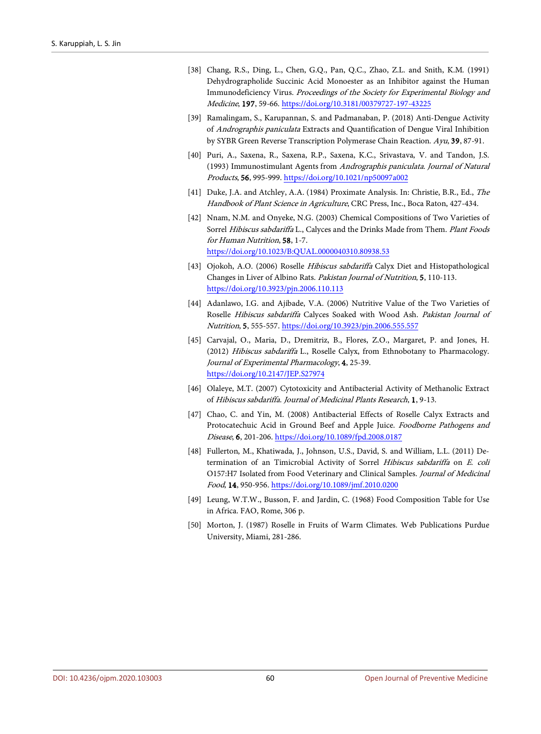- <span id="page-15-0"></span>[38] Chang, R.S., Ding, L., Chen, G.Q., Pan, Q.C., Zhao, Z.L. and Snith, K.M. (1991) Dehydrographolide Succinic Acid Monoester as an Inhibitor against the Human Immunodeficiency Virus. Proceedings of the Society for Experimental Biology and Medicine, 197, 59-66. <https://doi.org/10.3181/00379727-197-43225>
- <span id="page-15-1"></span>[39] Ramalingam, S., Karupannan, S. and Padmanaban, P. (2018) Anti-Dengue Activity of Andrographis paniculata Extracts and Quantification of Dengue Viral Inhibition by SYBR Green Reverse Transcription Polymerase Chain Reaction. Ayu, 39, 87-91.
- <span id="page-15-2"></span>[40] Puri, A., Saxena, R., Saxena, R.P., Saxena, K.C., Srivastava, V. and Tandon, J.S. (1993) Immunostimulant Agents from Andrographis paniculata. Journal of Natural Products, 56, 995-999. <https://doi.org/10.1021/np50097a002>
- <span id="page-15-3"></span>[41] Duke, J.A. and Atchley, A.A. (1984) Proximate Analysis. In: Christie, B.R., Ed., The Handbook of Plant Science in Agriculture, CRC Press, Inc., Boca Raton, 427-434.
- <span id="page-15-7"></span>[42] Nnam, N.M. and Onyeke, N.G. (2003) Chemical Compositions of Two Varieties of Sorrel Hibiscus sabdariffa L., Calyces and the Drinks Made from Them. Plant Foods for Human Nutrition, 58, 1-7. <https://doi.org/10.1023/B:QUAL.0000040310.80938.53>
- <span id="page-15-8"></span>[43] Ojokoh, A.O. (2006) Roselle Hibiscus sabdariffa Calyx Diet and Histopathological Changes in Liver of Albino Rats. Pakistan Journal of Nutrition, 5, 110-113. <https://doi.org/10.3923/pjn.2006.110.113>
- <span id="page-15-9"></span>[44] Adanlawo, I.G. and Ajibade, V.A. (2006) Nutritive Value of the Two Varieties of Roselle Hibiscus sabdariffa Calyces Soaked with Wood Ash. Pakistan Journal of Nutrition, 5, 555-557. <https://doi.org/10.3923/pjn.2006.555.557>
- <span id="page-15-10"></span>[45] Carvajal, O., Maria, D., Dremitriz, B., Flores, Z.O., Margaret, P. and Jones, H. (2012) Hibiscus sabdariffa L., Roselle Calyx, from Ethnobotany to Pharmacology. Journal of Experimental Pharmacology, 4, 25-39. <https://doi.org/10.2147/JEP.S27974>
- <span id="page-15-11"></span>[46] Olaleye, M.T. (2007) Cytotoxicity and Antibacterial Activity of Methanolic Extract of Hibiscus sabdariffa. Journal of Medicinal Plants Research, 1, 9-13.
- <span id="page-15-12"></span>[47] Chao, C. and Yin, M. (2008) Antibacterial Effects of Roselle Calyx Extracts and Protocatechuic Acid in Ground Beef and Apple Juice. Foodborne Pathogens and Disease, 6, 201-206. <https://doi.org/10.1089/fpd.2008.0187>
- <span id="page-15-4"></span>[48] Fullerton, M., Khatiwada, J., Johnson, U.S., David, S. and William, L.L. (2011) Determination of an Timicrobial Activity of Sorrel Hibiscus sabdariffa on E. coli O157:H7 Isolated from Food Veterinary and Clinical Samples. Journal of Medicinal Food, 14, 950-956. <https://doi.org/10.1089/jmf.2010.0200>
- <span id="page-15-5"></span>[49] Leung, W.T.W., Busson, F. and Jardin, C. (1968) Food Composition Table for Use in Africa. FAO, Rome, 306 p.
- <span id="page-15-6"></span>[50] Morton, J. (1987) Roselle in Fruits of Warm Climates. Web Publications Purdue University, Miami, 281-286.